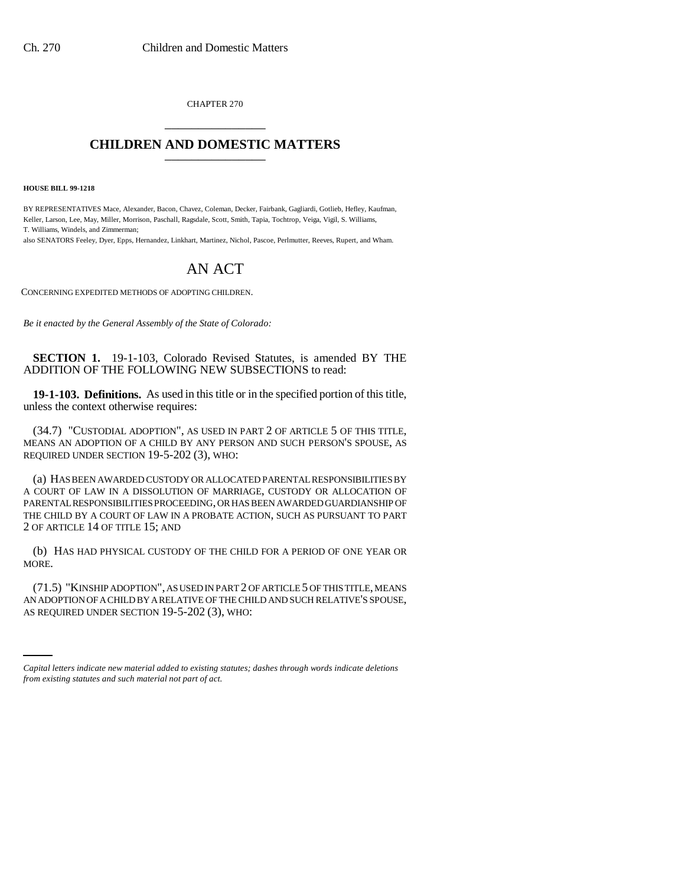CHAPTER 270 \_\_\_\_\_\_\_\_\_\_\_\_\_\_\_

## **CHILDREN AND DOMESTIC MATTERS** \_\_\_\_\_\_\_\_\_\_\_\_\_\_\_

**HOUSE BILL 99-1218**

BY REPRESENTATIVES Mace, Alexander, Bacon, Chavez, Coleman, Decker, Fairbank, Gagliardi, Gotlieb, Hefley, Kaufman, Keller, Larson, Lee, May, Miller, Morrison, Paschall, Ragsdale, Scott, Smith, Tapia, Tochtrop, Veiga, Vigil, S. Williams, T. Williams, Windels, and Zimmerman;

also SENATORS Feeley, Dyer, Epps, Hernandez, Linkhart, Martinez, Nichol, Pascoe, Perlmutter, Reeves, Rupert, and Wham.

## AN ACT

CONCERNING EXPEDITED METHODS OF ADOPTING CHILDREN.

*Be it enacted by the General Assembly of the State of Colorado:*

**SECTION 1.** 19-1-103, Colorado Revised Statutes, is amended BY THE ADDITION OF THE FOLLOWING NEW SUBSECTIONS to read:

**19-1-103. Definitions.** As used in this title or in the specified portion of this title, unless the context otherwise requires:

(34.7) "CUSTODIAL ADOPTION", AS USED IN PART 2 OF ARTICLE 5 OF THIS TITLE, MEANS AN ADOPTION OF A CHILD BY ANY PERSON AND SUCH PERSON'S SPOUSE, AS REQUIRED UNDER SECTION 19-5-202 (3), WHO:

(a) HAS BEEN AWARDED CUSTODY OR ALLOCATED PARENTAL RESPONSIBILITIES BY A COURT OF LAW IN A DISSOLUTION OF MARRIAGE, CUSTODY OR ALLOCATION OF PARENTAL RESPONSIBILITIES PROCEEDING, OR HAS BEEN AWARDED GUARDIANSHIP OF THE CHILD BY A COURT OF LAW IN A PROBATE ACTION, SUCH AS PURSUANT TO PART 2 OF ARTICLE 14 OF TITLE 15; AND

(b) HAS HAD PHYSICAL CUSTODY OF THE CHILD FOR A PERIOD OF ONE YEAR OR MORE.

AN ADOPTION OF A CHILD BY A RELATIVE OF THE CHILD AND SUCH RELATIVE'S SPOUSE, (71.5) "KINSHIP ADOPTION", AS USED IN PART 2 OF ARTICLE 5 OF THIS TITLE, MEANS AS REQUIRED UNDER SECTION 19-5-202 (3), WHO:

*Capital letters indicate new material added to existing statutes; dashes through words indicate deletions from existing statutes and such material not part of act.*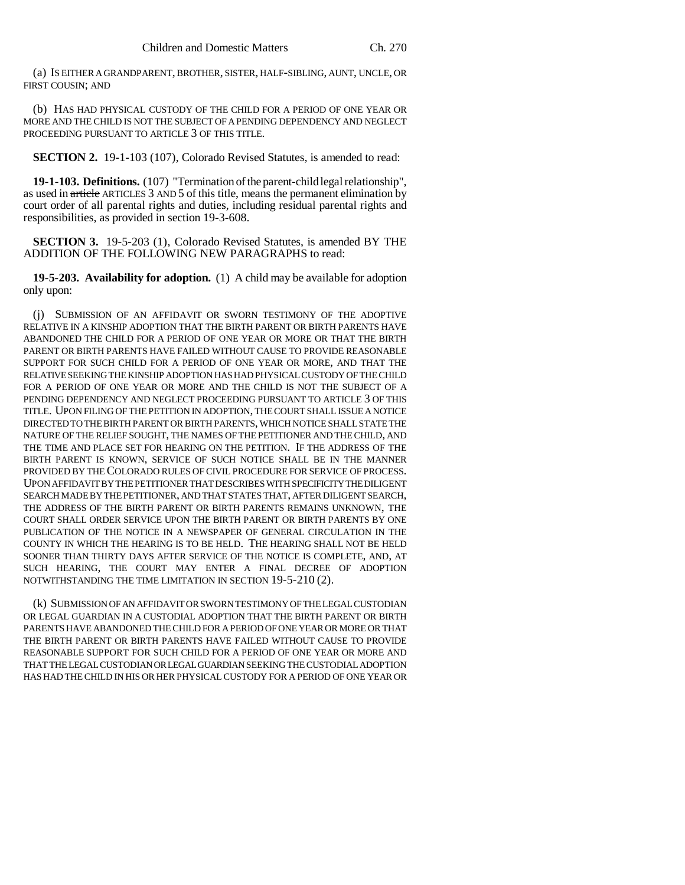(a) IS EITHER A GRANDPARENT, BROTHER, SISTER, HALF-SIBLING, AUNT, UNCLE, OR FIRST COUSIN; AND

(b) HAS HAD PHYSICAL CUSTODY OF THE CHILD FOR A PERIOD OF ONE YEAR OR MORE AND THE CHILD IS NOT THE SUBJECT OF A PENDING DEPENDENCY AND NEGLECT PROCEEDING PURSUANT TO ARTICLE 3 OF THIS TITLE.

**SECTION 2.** 19-1-103 (107), Colorado Revised Statutes, is amended to read:

**19-1-103. Definitions.** (107) "Termination of the parent-child legal relationship", as used in article ARTICLES 3 AND 5 of this title, means the permanent elimination by court order of all parental rights and duties, including residual parental rights and responsibilities, as provided in section 19-3-608.

**SECTION 3.** 19-5-203 (1), Colorado Revised Statutes, is amended BY THE ADDITION OF THE FOLLOWING NEW PARAGRAPHS to read:

**19-5-203. Availability for adoption.** (1) A child may be available for adoption only upon:

(j) SUBMISSION OF AN AFFIDAVIT OR SWORN TESTIMONY OF THE ADOPTIVE RELATIVE IN A KINSHIP ADOPTION THAT THE BIRTH PARENT OR BIRTH PARENTS HAVE ABANDONED THE CHILD FOR A PERIOD OF ONE YEAR OR MORE OR THAT THE BIRTH PARENT OR BIRTH PARENTS HAVE FAILED WITHOUT CAUSE TO PROVIDE REASONABLE SUPPORT FOR SUCH CHILD FOR A PERIOD OF ONE YEAR OR MORE, AND THAT THE RELATIVE SEEKING THE KINSHIP ADOPTION HAS HAD PHYSICAL CUSTODY OF THE CHILD FOR A PERIOD OF ONE YEAR OR MORE AND THE CHILD IS NOT THE SUBJECT OF A PENDING DEPENDENCY AND NEGLECT PROCEEDING PURSUANT TO ARTICLE 3 OF THIS TITLE. UPON FILING OF THE PETITION IN ADOPTION, THE COURT SHALL ISSUE A NOTICE DIRECTED TO THE BIRTH PARENT OR BIRTH PARENTS, WHICH NOTICE SHALL STATE THE NATURE OF THE RELIEF SOUGHT, THE NAMES OF THE PETITIONER AND THE CHILD, AND THE TIME AND PLACE SET FOR HEARING ON THE PETITION. IF THE ADDRESS OF THE BIRTH PARENT IS KNOWN, SERVICE OF SUCH NOTICE SHALL BE IN THE MANNER PROVIDED BY THE COLORADO RULES OF CIVIL PROCEDURE FOR SERVICE OF PROCESS. UPON AFFIDAVIT BY THE PETITIONER THAT DESCRIBES WITH SPECIFICITY THE DILIGENT SEARCH MADE BY THE PETITIONER, AND THAT STATES THAT, AFTER DILIGENT SEARCH, THE ADDRESS OF THE BIRTH PARENT OR BIRTH PARENTS REMAINS UNKNOWN, THE COURT SHALL ORDER SERVICE UPON THE BIRTH PARENT OR BIRTH PARENTS BY ONE PUBLICATION OF THE NOTICE IN A NEWSPAPER OF GENERAL CIRCULATION IN THE COUNTY IN WHICH THE HEARING IS TO BE HELD. THE HEARING SHALL NOT BE HELD SOONER THAN THIRTY DAYS AFTER SERVICE OF THE NOTICE IS COMPLETE, AND, AT SUCH HEARING, THE COURT MAY ENTER A FINAL DECREE OF ADOPTION NOTWITHSTANDING THE TIME LIMITATION IN SECTION 19-5-210 (2).

(k) SUBMISSION OF AN AFFIDAVIT OR SWORN TESTIMONY OF THE LEGAL CUSTODIAN OR LEGAL GUARDIAN IN A CUSTODIAL ADOPTION THAT THE BIRTH PARENT OR BIRTH PARENTS HAVE ABANDONED THE CHILD FOR A PERIOD OF ONE YEAR OR MORE OR THAT THE BIRTH PARENT OR BIRTH PARENTS HAVE FAILED WITHOUT CAUSE TO PROVIDE REASONABLE SUPPORT FOR SUCH CHILD FOR A PERIOD OF ONE YEAR OR MORE AND THAT THE LEGAL CUSTODIAN OR LEGAL GUARDIAN SEEKING THE CUSTODIAL ADOPTION HAS HAD THE CHILD IN HIS OR HER PHYSICAL CUSTODY FOR A PERIOD OF ONE YEAR OR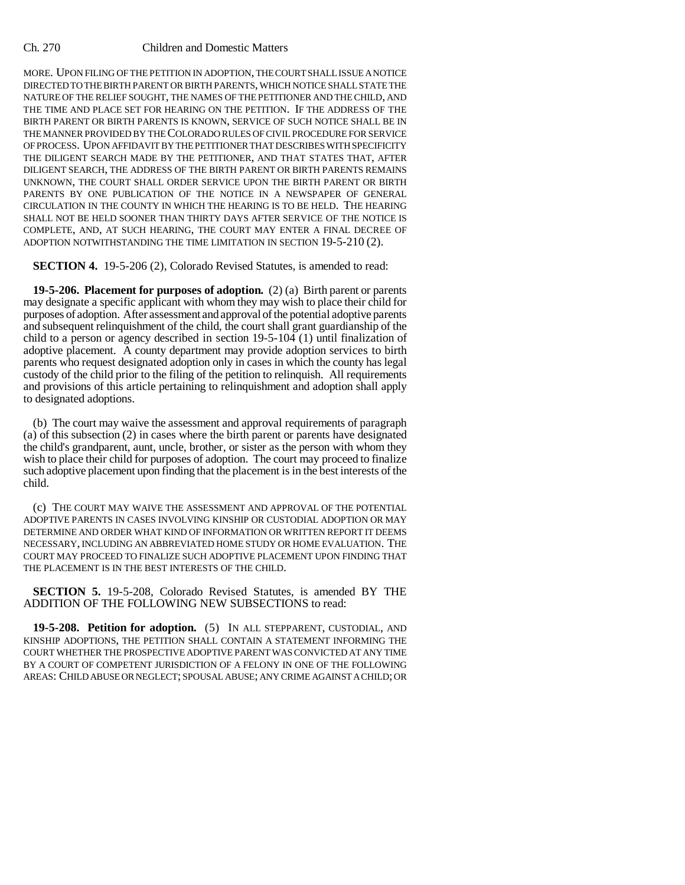## Ch. 270 Children and Domestic Matters

MORE. UPON FILING OF THE PETITION IN ADOPTION, THE COURT SHALL ISSUE A NOTICE DIRECTED TO THE BIRTH PARENT OR BIRTH PARENTS, WHICH NOTICE SHALL STATE THE NATURE OF THE RELIEF SOUGHT, THE NAMES OF THE PETITIONER AND THE CHILD, AND THE TIME AND PLACE SET FOR HEARING ON THE PETITION. IF THE ADDRESS OF THE BIRTH PARENT OR BIRTH PARENTS IS KNOWN, SERVICE OF SUCH NOTICE SHALL BE IN THE MANNER PROVIDED BY THE COLORADO RULES OF CIVIL PROCEDURE FOR SERVICE OF PROCESS. UPON AFFIDAVIT BY THE PETITIONER THAT DESCRIBES WITH SPECIFICITY THE DILIGENT SEARCH MADE BY THE PETITIONER, AND THAT STATES THAT, AFTER DILIGENT SEARCH, THE ADDRESS OF THE BIRTH PARENT OR BIRTH PARENTS REMAINS UNKNOWN, THE COURT SHALL ORDER SERVICE UPON THE BIRTH PARENT OR BIRTH PARENTS BY ONE PUBLICATION OF THE NOTICE IN A NEWSPAPER OF GENERAL CIRCULATION IN THE COUNTY IN WHICH THE HEARING IS TO BE HELD. THE HEARING SHALL NOT BE HELD SOONER THAN THIRTY DAYS AFTER SERVICE OF THE NOTICE IS COMPLETE, AND, AT SUCH HEARING, THE COURT MAY ENTER A FINAL DECREE OF ADOPTION NOTWITHSTANDING THE TIME LIMITATION IN SECTION 19-5-210 (2).

**SECTION 4.** 19-5-206 (2), Colorado Revised Statutes, is amended to read:

**19-5-206. Placement for purposes of adoption.** (2) (a) Birth parent or parents may designate a specific applicant with whom they may wish to place their child for purposes of adoption. After assessment and approval of the potential adoptive parents and subsequent relinquishment of the child, the court shall grant guardianship of the child to a person or agency described in section 19-5-104 (1) until finalization of adoptive placement. A county department may provide adoption services to birth parents who request designated adoption only in cases in which the county has legal custody of the child prior to the filing of the petition to relinquish. All requirements and provisions of this article pertaining to relinquishment and adoption shall apply to designated adoptions.

(b) The court may waive the assessment and approval requirements of paragraph (a) of this subsection (2) in cases where the birth parent or parents have designated the child's grandparent, aunt, uncle, brother, or sister as the person with whom they wish to place their child for purposes of adoption. The court may proceed to finalize such adoptive placement upon finding that the placement is in the best interests of the child.

(c) THE COURT MAY WAIVE THE ASSESSMENT AND APPROVAL OF THE POTENTIAL ADOPTIVE PARENTS IN CASES INVOLVING KINSHIP OR CUSTODIAL ADOPTION OR MAY DETERMINE AND ORDER WHAT KIND OF INFORMATION OR WRITTEN REPORT IT DEEMS NECESSARY, INCLUDING AN ABBREVIATED HOME STUDY OR HOME EVALUATION. THE COURT MAY PROCEED TO FINALIZE SUCH ADOPTIVE PLACEMENT UPON FINDING THAT THE PLACEMENT IS IN THE BEST INTERESTS OF THE CHILD.

**SECTION 5.** 19-5-208, Colorado Revised Statutes, is amended BY THE ADDITION OF THE FOLLOWING NEW SUBSECTIONS to read:

**19-5-208. Petition for adoption.** (5) IN ALL STEPPARENT, CUSTODIAL, AND KINSHIP ADOPTIONS, THE PETITION SHALL CONTAIN A STATEMENT INFORMING THE COURT WHETHER THE PROSPECTIVE ADOPTIVE PARENT WAS CONVICTED AT ANY TIME BY A COURT OF COMPETENT JURISDICTION OF A FELONY IN ONE OF THE FOLLOWING AREAS: CHILD ABUSE OR NEGLECT; SPOUSAL ABUSE; ANY CRIME AGAINST A CHILD; OR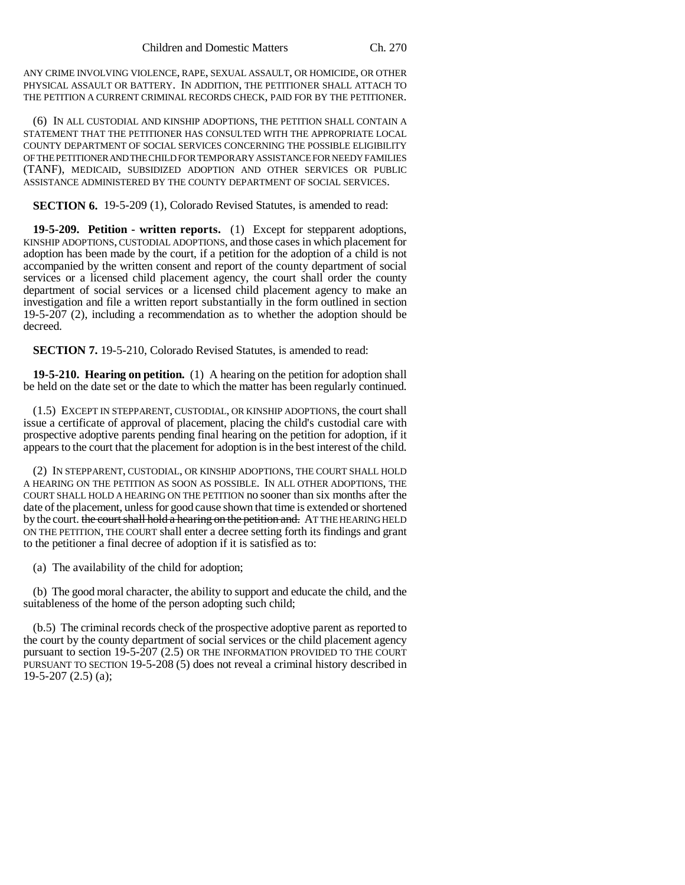ANY CRIME INVOLVING VIOLENCE, RAPE, SEXUAL ASSAULT, OR HOMICIDE, OR OTHER PHYSICAL ASSAULT OR BATTERY. IN ADDITION, THE PETITIONER SHALL ATTACH TO THE PETITION A CURRENT CRIMINAL RECORDS CHECK, PAID FOR BY THE PETITIONER.

(6) IN ALL CUSTODIAL AND KINSHIP ADOPTIONS, THE PETITION SHALL CONTAIN A STATEMENT THAT THE PETITIONER HAS CONSULTED WITH THE APPROPRIATE LOCAL COUNTY DEPARTMENT OF SOCIAL SERVICES CONCERNING THE POSSIBLE ELIGIBILITY OF THE PETITIONER AND THE CHILD FOR TEMPORARY ASSISTANCE FOR NEEDY FAMILIES (TANF), MEDICAID, SUBSIDIZED ADOPTION AND OTHER SERVICES OR PUBLIC ASSISTANCE ADMINISTERED BY THE COUNTY DEPARTMENT OF SOCIAL SERVICES.

**SECTION 6.** 19-5-209 (1), Colorado Revised Statutes, is amended to read:

**19-5-209. Petition - written reports.** (1) Except for stepparent adoptions, KINSHIP ADOPTIONS, CUSTODIAL ADOPTIONS, and those cases in which placement for adoption has been made by the court, if a petition for the adoption of a child is not accompanied by the written consent and report of the county department of social services or a licensed child placement agency, the court shall order the county department of social services or a licensed child placement agency to make an investigation and file a written report substantially in the form outlined in section 19-5-207 (2), including a recommendation as to whether the adoption should be decreed.

**SECTION 7.** 19-5-210, Colorado Revised Statutes, is amended to read:

**19-5-210. Hearing on petition.** (1) A hearing on the petition for adoption shall be held on the date set or the date to which the matter has been regularly continued.

(1.5) EXCEPT IN STEPPARENT, CUSTODIAL, OR KINSHIP ADOPTIONS, the court shall issue a certificate of approval of placement, placing the child's custodial care with prospective adoptive parents pending final hearing on the petition for adoption, if it appears to the court that the placement for adoption is in the best interest of the child.

(2) IN STEPPARENT, CUSTODIAL, OR KINSHIP ADOPTIONS, THE COURT SHALL HOLD A HEARING ON THE PETITION AS SOON AS POSSIBLE. IN ALL OTHER ADOPTIONS, THE COURT SHALL HOLD A HEARING ON THE PETITION no sooner than six months after the date of the placement, unless for good cause shown that time is extended or shortened by the court. the court shall hold a hearing on the petition and. AT THE HEARING HELD ON THE PETITION, THE COURT shall enter a decree setting forth its findings and grant to the petitioner a final decree of adoption if it is satisfied as to:

(a) The availability of the child for adoption;

(b) The good moral character, the ability to support and educate the child, and the suitableness of the home of the person adopting such child;

(b.5) The criminal records check of the prospective adoptive parent as reported to the court by the county department of social services or the child placement agency pursuant to section 19-5-207 (2.5) OR THE INFORMATION PROVIDED TO THE COURT PURSUANT TO SECTION 19-5-208 (5) does not reveal a criminal history described in 19-5-207 (2.5) (a);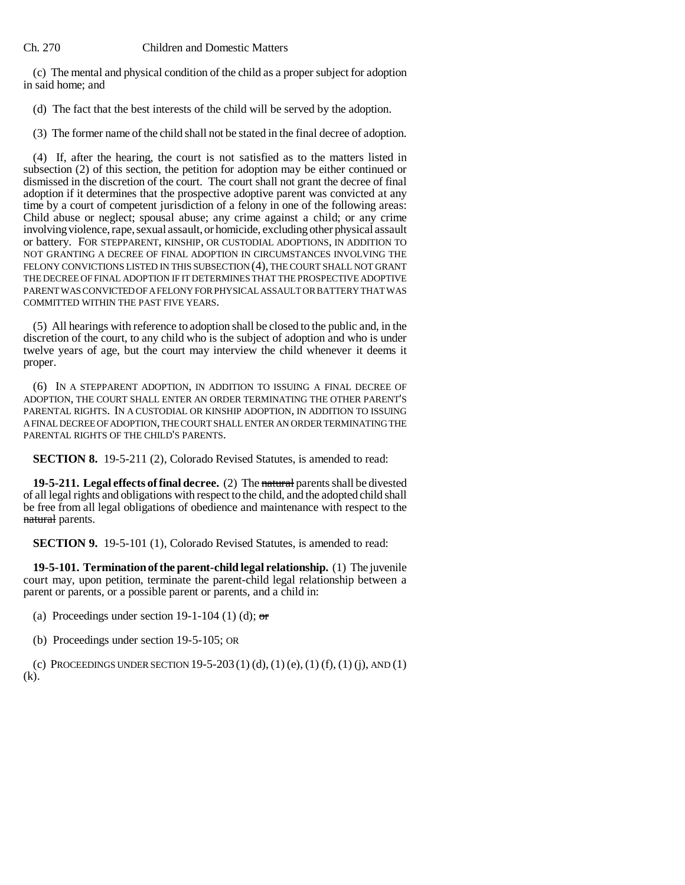Ch. 270 Children and Domestic Matters

(c) The mental and physical condition of the child as a proper subject for adoption in said home; and

(d) The fact that the best interests of the child will be served by the adoption.

(3) The former name of the child shall not be stated in the final decree of adoption.

(4) If, after the hearing, the court is not satisfied as to the matters listed in subsection (2) of this section, the petition for adoption may be either continued or dismissed in the discretion of the court. The court shall not grant the decree of final adoption if it determines that the prospective adoptive parent was convicted at any time by a court of competent jurisdiction of a felony in one of the following areas: Child abuse or neglect; spousal abuse; any crime against a child; or any crime involving violence, rape, sexual assault, or homicide, excluding other physical assault or battery. FOR STEPPARENT, KINSHIP, OR CUSTODIAL ADOPTIONS, IN ADDITION TO NOT GRANTING A DECREE OF FINAL ADOPTION IN CIRCUMSTANCES INVOLVING THE FELONY CONVICTIONS LISTED IN THIS SUBSECTION (4), THE COURT SHALL NOT GRANT THE DECREE OF FINAL ADOPTION IF IT DETERMINES THAT THE PROSPECTIVE ADOPTIVE PARENT WAS CONVICTED OF A FELONY FOR PHYSICAL ASSAULT OR BATTERY THAT WAS COMMITTED WITHIN THE PAST FIVE YEARS.

(5) All hearings with reference to adoption shall be closed to the public and, in the discretion of the court, to any child who is the subject of adoption and who is under twelve years of age, but the court may interview the child whenever it deems it proper.

(6) IN A STEPPARENT ADOPTION, IN ADDITION TO ISSUING A FINAL DECREE OF ADOPTION, THE COURT SHALL ENTER AN ORDER TERMINATING THE OTHER PARENT'S PARENTAL RIGHTS. IN A CUSTODIAL OR KINSHIP ADOPTION, IN ADDITION TO ISSUING A FINAL DECREE OF ADOPTION, THE COURT SHALL ENTER AN ORDER TERMINATING THE PARENTAL RIGHTS OF THE CHILD'S PARENTS.

**SECTION 8.** 19-5-211 (2), Colorado Revised Statutes, is amended to read:

**19-5-211. Legal effects of final decree.** (2) The natural parents shall be divested of all legal rights and obligations with respect to the child, and the adopted child shall be free from all legal obligations of obedience and maintenance with respect to the natural parents.

**SECTION 9.** 19-5-101 (1), Colorado Revised Statutes, is amended to read:

**19-5-101. Termination of the parent-child legal relationship.** (1) The juvenile court may, upon petition, terminate the parent-child legal relationship between a parent or parents, or a possible parent or parents, and a child in:

(a) Proceedings under section 19-1-104 (1) (d);  $\sigma$ 

(b) Proceedings under section 19-5-105; OR

(c) PROCEEDINGS UNDER SECTION 19-5-203 (1) (d), (1) (e), (1) (f), (1) (j), AND (1) (k).